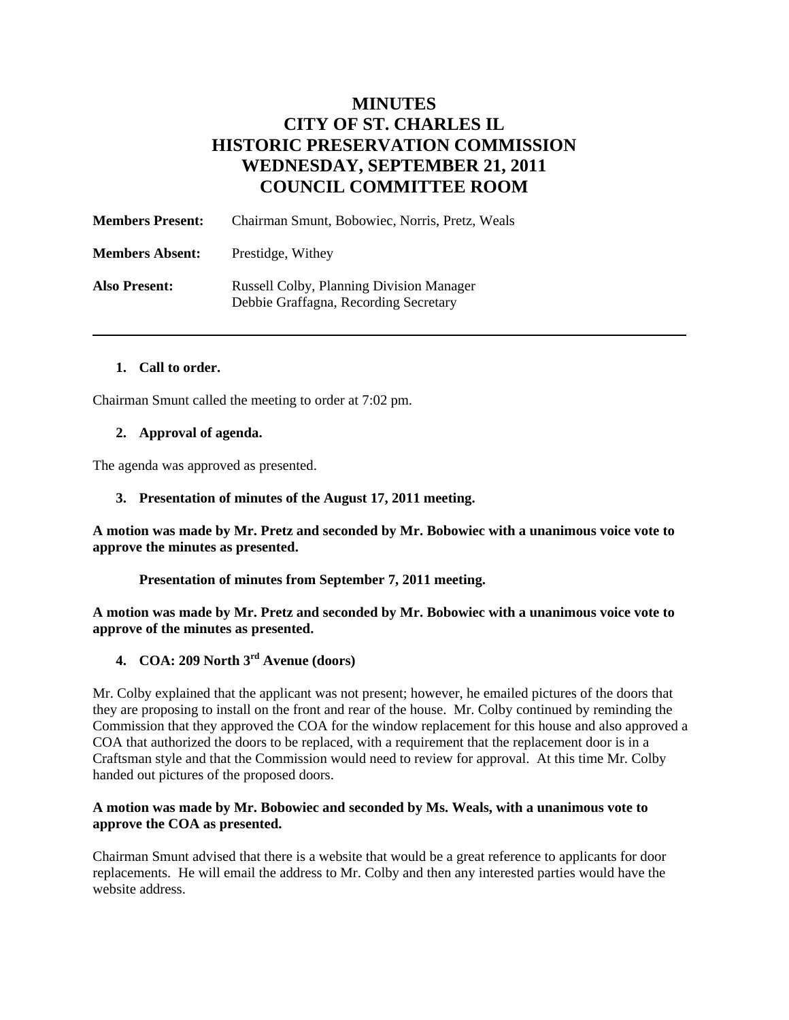# **MINUTES CITY OF ST. CHARLES IL HISTORIC PRESERVATION COMMISSION WEDNESDAY, SEPTEMBER 21, 2011 COUNCIL COMMITTEE ROOM**

| <b>Members Present:</b> | Chairman Smunt, Bobowiec, Norris, Pretz, Weals                                           |
|-------------------------|------------------------------------------------------------------------------------------|
| <b>Members Absent:</b>  | Prestidge, Withey                                                                        |
| <b>Also Present:</b>    | <b>Russell Colby, Planning Division Manager</b><br>Debbie Graffagna, Recording Secretary |

#### **1. Call to order.**

Chairman Smunt called the meeting to order at 7:02 pm.

#### **2. Approval of agenda.**

The agenda was approved as presented.

#### **3. Presentation of minutes of the August 17, 2011 meeting.**

**A motion was made by Mr. Pretz and seconded by Mr. Bobowiec with a unanimous voice vote to approve the minutes as presented.** 

#### **Presentation of minutes from September 7, 2011 meeting.**

**A motion was made by Mr. Pretz and seconded by Mr. Bobowiec with a unanimous voice vote to approve of the minutes as presented.** 

## **4. COA: 209 North 3rd Avenue (doors)**

Mr. Colby explained that the applicant was not present; however, he emailed pictures of the doors that they are proposing to install on the front and rear of the house. Mr. Colby continued by reminding the Commission that they approved the COA for the window replacement for this house and also approved a COA that authorized the doors to be replaced, with a requirement that the replacement door is in a Craftsman style and that the Commission would need to review for approval. At this time Mr. Colby handed out pictures of the proposed doors.

#### **A motion was made by Mr. Bobowiec and seconded by Ms. Weals, with a unanimous vote to approve the COA as presented.**

Chairman Smunt advised that there is a website that would be a great reference to applicants for door replacements. He will email the address to Mr. Colby and then any interested parties would have the website address.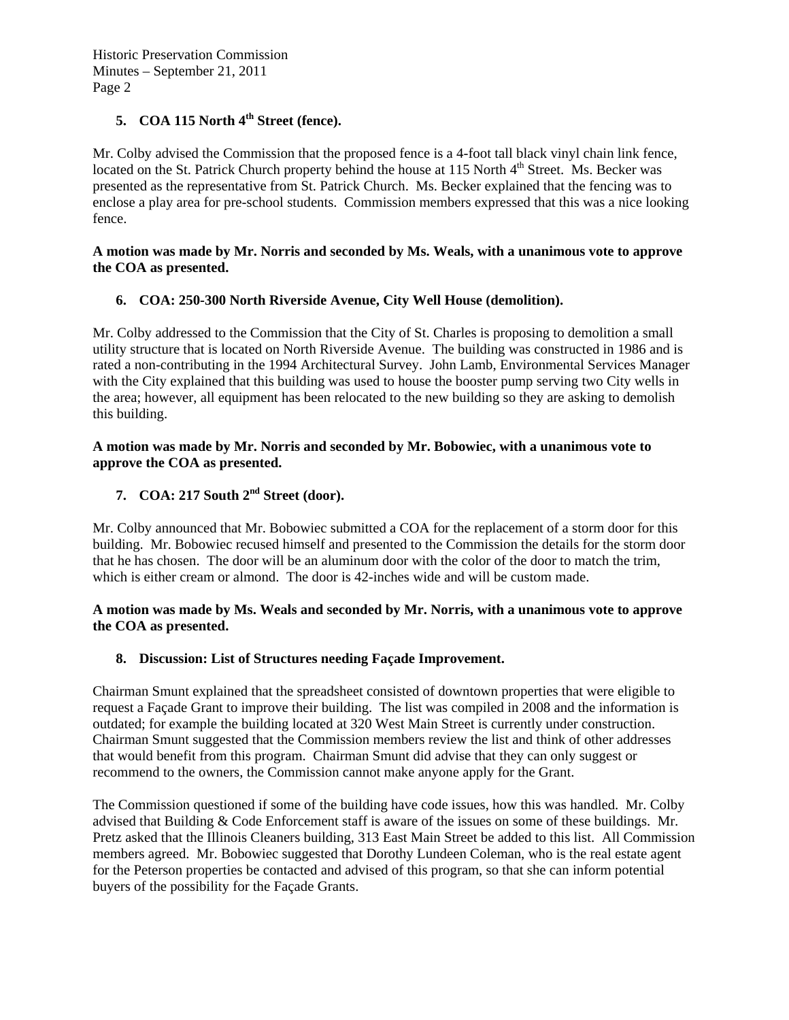## **5. COA 115 North 4th Street (fence).**

Mr. Colby advised the Commission that the proposed fence is a 4-foot tall black vinyl chain link fence, located on the St. Patrick Church property behind the house at 115 North 4<sup>th</sup> Street. Ms. Becker was presented as the representative from St. Patrick Church. Ms. Becker explained that the fencing was to enclose a play area for pre-school students. Commission members expressed that this was a nice looking fence.

#### **A motion was made by Mr. Norris and seconded by Ms. Weals, with a unanimous vote to approve the COA as presented.**

### **6. COA: 250-300 North Riverside Avenue, City Well House (demolition).**

Mr. Colby addressed to the Commission that the City of St. Charles is proposing to demolition a small utility structure that is located on North Riverside Avenue. The building was constructed in 1986 and is rated a non-contributing in the 1994 Architectural Survey. John Lamb, Environmental Services Manager with the City explained that this building was used to house the booster pump serving two City wells in the area; however, all equipment has been relocated to the new building so they are asking to demolish this building.

#### **A motion was made by Mr. Norris and seconded by Mr. Bobowiec, with a unanimous vote to approve the COA as presented.**

## **7. COA: 217 South 2nd Street (door).**

Mr. Colby announced that Mr. Bobowiec submitted a COA for the replacement of a storm door for this building. Mr. Bobowiec recused himself and presented to the Commission the details for the storm door that he has chosen. The door will be an aluminum door with the color of the door to match the trim, which is either cream or almond. The door is 42-inches wide and will be custom made.

### **A motion was made by Ms. Weals and seconded by Mr. Norris, with a unanimous vote to approve the COA as presented.**

### **8. Discussion: List of Structures needing Façade Improvement.**

Chairman Smunt explained that the spreadsheet consisted of downtown properties that were eligible to request a Façade Grant to improve their building. The list was compiled in 2008 and the information is outdated; for example the building located at 320 West Main Street is currently under construction. Chairman Smunt suggested that the Commission members review the list and think of other addresses that would benefit from this program. Chairman Smunt did advise that they can only suggest or recommend to the owners, the Commission cannot make anyone apply for the Grant.

The Commission questioned if some of the building have code issues, how this was handled. Mr. Colby advised that Building & Code Enforcement staff is aware of the issues on some of these buildings. Mr. Pretz asked that the Illinois Cleaners building, 313 East Main Street be added to this list. All Commission members agreed. Mr. Bobowiec suggested that Dorothy Lundeen Coleman, who is the real estate agent for the Peterson properties be contacted and advised of this program, so that she can inform potential buyers of the possibility for the Façade Grants.